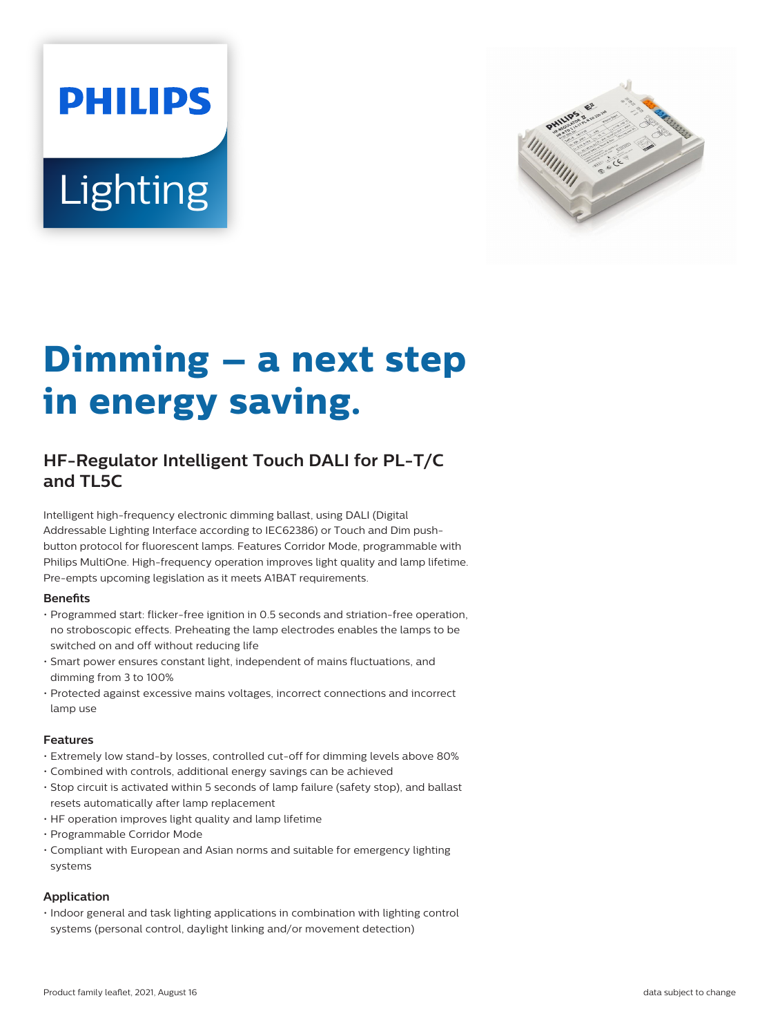# **PHILIPS** Lighting



# **Dimming – a next step in energy saving.**

## **HF-Regulator Intelligent Touch DALI for PL-T/C and TL5C**

Intelligent high-frequency electronic dimming ballast, using DALI (Digital Addressable Lighting Interface according to IEC62386) or Touch and Dim pushbutton protocol for fluorescent lamps. Features Corridor Mode, programmable with Philips MultiOne. High-frequency operation improves light quality and lamp lifetime. Pre-empts upcoming legislation as it meets A1BAT requirements.

#### **Benets**

- Programmed start: flicker-free ignition in 0.5 seconds and striation-free operation, no stroboscopic effects. Preheating the lamp electrodes enables the lamps to be switched on and off without reducing life
- Smart power ensures constant light, independent of mains fluctuations, and dimming from 3 to 100%
- Protected against excessive mains voltages, incorrect connections and incorrect lamp use

#### **Features**

- Extremely low stand-by losses, controlled cut-off for dimming levels above 80%
- Combined with controls, additional energy savings can be achieved
- Stop circuit is activated within 5 seconds of lamp failure (safety stop), and ballast resets automatically after lamp replacement
- HF operation improves light quality and lamp lifetime
- Programmable Corridor Mode
- Compliant with European and Asian norms and suitable for emergency lighting systems

#### **Application**

• Indoor general and task lighting applications in combination with lighting control systems (personal control, daylight linking and/or movement detection)